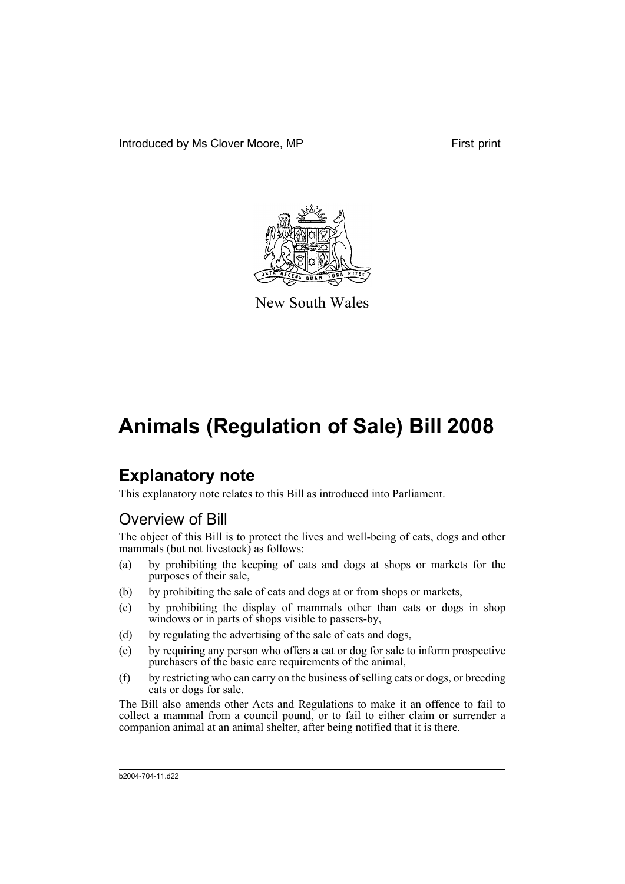Introduced by Ms Clover Moore, MP First print



New South Wales

# **Animals (Regulation of Sale) Bill 2008**

# **Explanatory note**

This explanatory note relates to this Bill as introduced into Parliament.

# Overview of Bill

The object of this Bill is to protect the lives and well-being of cats, dogs and other mammals (but not livestock) as follows:

- (a) by prohibiting the keeping of cats and dogs at shops or markets for the purposes of their sale,
- (b) by prohibiting the sale of cats and dogs at or from shops or markets,
- (c) by prohibiting the display of mammals other than cats or dogs in shop windows or in parts of shops visible to passers-by,
- (d) by regulating the advertising of the sale of cats and dogs,
- (e) by requiring any person who offers a cat or dog for sale to inform prospective purchasers of the basic care requirements of the animal,
- (f) by restricting who can carry on the business of selling cats or dogs, or breeding cats or dogs for sale.

The Bill also amends other Acts and Regulations to make it an offence to fail to collect a mammal from a council pound, or to fail to either claim or surrender a companion animal at an animal shelter, after being notified that it is there.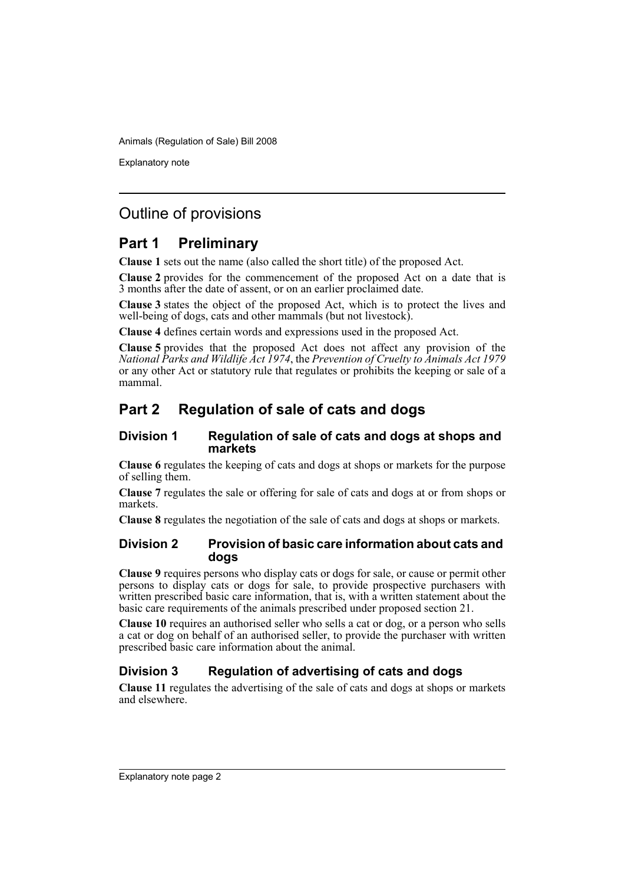Explanatory note

# Outline of provisions

# **Part 1 Preliminary**

**Clause 1** sets out the name (also called the short title) of the proposed Act.

**Clause 2** provides for the commencement of the proposed Act on a date that is 3 months after the date of assent, or on an earlier proclaimed date.

**Clause 3** states the object of the proposed Act, which is to protect the lives and well-being of dogs, cats and other mammals (but not livestock).

**Clause 4** defines certain words and expressions used in the proposed Act.

**Clause 5** provides that the proposed Act does not affect any provision of the *National Parks and Wildlife Act 1974*, the *Prevention of Cruelty to Animals Act 1979* or any other Act or statutory rule that regulates or prohibits the keeping or sale of a mammal.

# **Part 2 Regulation of sale of cats and dogs**

### **Division 1 Regulation of sale of cats and dogs at shops and markets**

**Clause 6** regulates the keeping of cats and dogs at shops or markets for the purpose of selling them.

**Clause 7** regulates the sale or offering for sale of cats and dogs at or from shops or markets.

**Clause 8** regulates the negotiation of the sale of cats and dogs at shops or markets.

### **Division 2 Provision of basic care information about cats and dogs**

**Clause 9** requires persons who display cats or dogs for sale, or cause or permit other persons to display cats or dogs for sale, to provide prospective purchasers with written prescribed basic care information, that is, with a written statement about the basic care requirements of the animals prescribed under proposed section 21.

**Clause 10** requires an authorised seller who sells a cat or dog, or a person who sells a cat or dog on behalf of an authorised seller, to provide the purchaser with written prescribed basic care information about the animal.

## **Division 3 Regulation of advertising of cats and dogs**

**Clause 11** regulates the advertising of the sale of cats and dogs at shops or markets and elsewhere.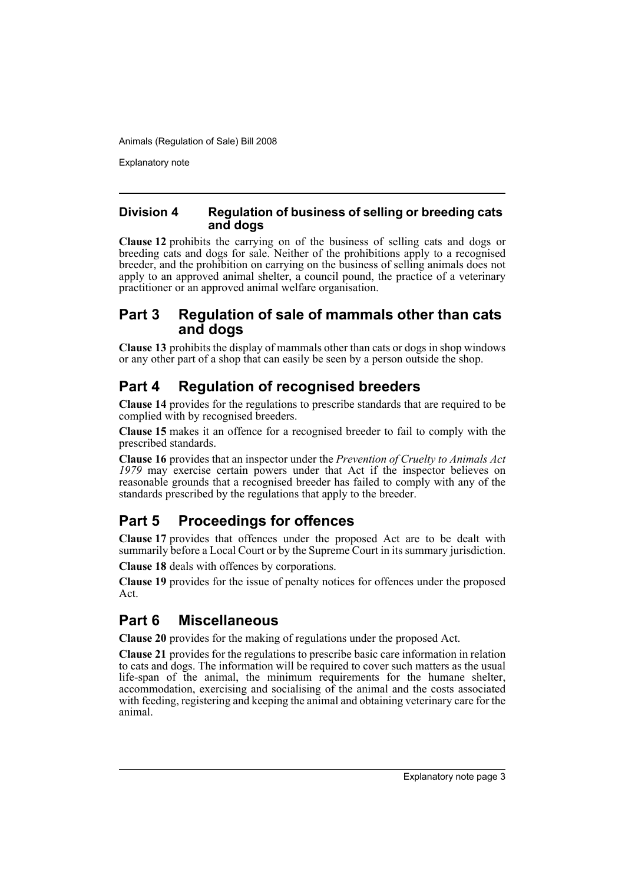Explanatory note

### **Division 4 Regulation of business of selling or breeding cats and dogs**

**Clause 12** prohibits the carrying on of the business of selling cats and dogs or breeding cats and dogs for sale. Neither of the prohibitions apply to a recognised breeder, and the prohibition on carrying on the business of selling animals does not apply to an approved animal shelter, a council pound, the practice of a veterinary practitioner or an approved animal welfare organisation.

## **Part 3 Regulation of sale of mammals other than cats and dogs**

**Clause 13** prohibits the display of mammals other than cats or dogs in shop windows or any other part of a shop that can easily be seen by a person outside the shop.

# **Part 4 Regulation of recognised breeders**

**Clause 14** provides for the regulations to prescribe standards that are required to be complied with by recognised breeders.

**Clause 15** makes it an offence for a recognised breeder to fail to comply with the prescribed standards.

**Clause 16** provides that an inspector under the *Prevention of Cruelty to Animals Act 1979* may exercise certain powers under that Act if the inspector believes on reasonable grounds that a recognised breeder has failed to comply with any of the standards prescribed by the regulations that apply to the breeder.

# **Part 5 Proceedings for offences**

**Clause 17** provides that offences under the proposed Act are to be dealt with summarily before a Local Court or by the Supreme Court in its summary jurisdiction.

**Clause 18** deals with offences by corporations.

**Clause 19** provides for the issue of penalty notices for offences under the proposed Act.

# **Part 6 Miscellaneous**

**Clause 20** provides for the making of regulations under the proposed Act.

**Clause 21** provides for the regulations to prescribe basic care information in relation to cats and dogs. The information will be required to cover such matters as the usual life-span of the animal, the minimum requirements for the humane shelter, accommodation, exercising and socialising of the animal and the costs associated with feeding, registering and keeping the animal and obtaining veterinary care for the animal.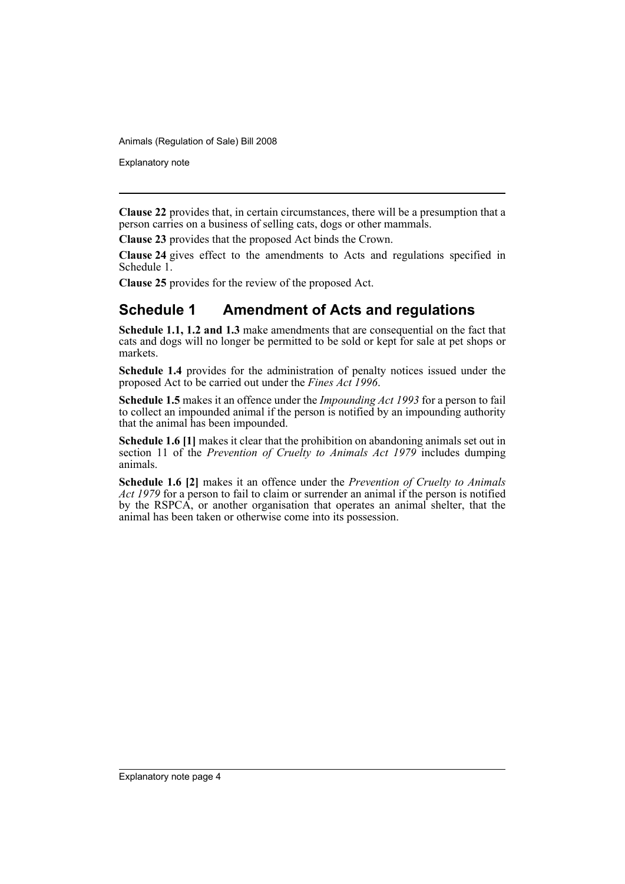Explanatory note

**Clause 22** provides that, in certain circumstances, there will be a presumption that a person carries on a business of selling cats, dogs or other mammals.

**Clause 23** provides that the proposed Act binds the Crown.

**Clause 24** gives effect to the amendments to Acts and regulations specified in Schedule 1.

**Clause 25** provides for the review of the proposed Act.

# **Schedule 1 Amendment of Acts and regulations**

**Schedule 1.1, 1.2 and 1.3** make amendments that are consequential on the fact that cats and dogs will no longer be permitted to be sold or kept for sale at pet shops or markets.

**Schedule 1.4** provides for the administration of penalty notices issued under the proposed Act to be carried out under the *Fines Act 1996*.

**Schedule 1.5** makes it an offence under the *Impounding Act 1993* for a person to fail to collect an impounded animal if the person is notified by an impounding authority that the animal has been impounded.

**Schedule 1.6 [1]** makes it clear that the prohibition on abandoning animals set out in section 11 of the *Prevention of Cruelty to Animals Act 1979* includes dumping animals.

**Schedule 1.6 [2]** makes it an offence under the *Prevention of Cruelty to Animals Act 1979* for a person to fail to claim or surrender an animal if the person is notified by the RSPCA, or another organisation that operates an animal shelter, that the animal has been taken or otherwise come into its possession.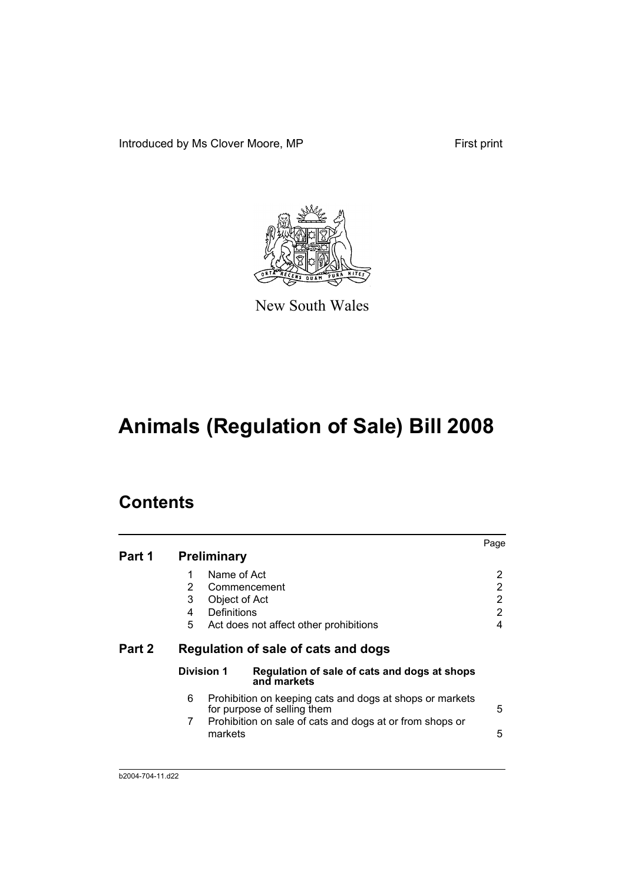Introduced by Ms Clover Moore, MP First print



New South Wales

# **Animals (Regulation of Sale) Bill 2008**

# **Contents**

| Part 1 | <b>Preliminary</b>                                                   |                                                                                                                                                     | Page                  |
|--------|----------------------------------------------------------------------|-----------------------------------------------------------------------------------------------------------------------------------------------------|-----------------------|
|        | Name of Act<br>1<br>2<br>3<br>Object of Act<br>Definitions<br>4<br>5 | Commencement<br>Act does not affect other prohibitions                                                                                              | 2<br>2<br>2<br>2<br>4 |
| Part 2 |                                                                      | Regulation of sale of cats and dogs                                                                                                                 |                       |
|        | Division 1                                                           | Regulation of sale of cats and dogs at shops<br>and markets                                                                                         |                       |
|        | 6<br>7<br>markets                                                    | Prohibition on keeping cats and dogs at shops or markets<br>for purpose of selling them<br>Prohibition on sale of cats and dogs at or from shops or | 5<br>5                |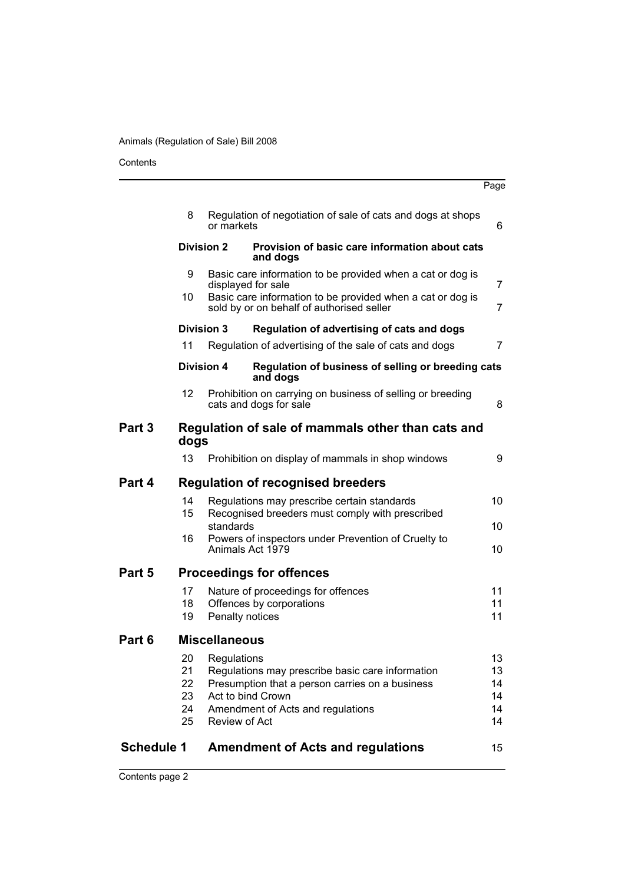Contents

|                   |                   |                      |                                                                                                         | Page     |
|-------------------|-------------------|----------------------|---------------------------------------------------------------------------------------------------------|----------|
|                   | 8                 | or markets           | Regulation of negotiation of sale of cats and dogs at shops                                             | 6        |
|                   |                   | <b>Division 2</b>    | Provision of basic care information about cats<br>and dogs                                              |          |
|                   | 9                 |                      | Basic care information to be provided when a cat or dog is<br>displayed for sale                        | 7        |
|                   | 10                |                      | Basic care information to be provided when a cat or dog is<br>sold by or on behalf of authorised seller | 7        |
|                   |                   | <b>Division 3</b>    | Regulation of advertising of cats and dogs                                                              |          |
|                   | 11                |                      | Regulation of advertising of the sale of cats and dogs                                                  | 7        |
|                   |                   | <b>Division 4</b>    | Regulation of business of selling or breeding cats<br>and dogs                                          |          |
|                   | $12 \overline{ }$ |                      | Prohibition on carrying on business of selling or breeding<br>cats and dogs for sale                    | 8        |
| Part 3            | dogs              |                      | Regulation of sale of mammals other than cats and                                                       |          |
|                   | 13                |                      | Prohibition on display of mammals in shop windows                                                       | 9        |
| Part 4            |                   |                      | <b>Regulation of recognised breeders</b>                                                                |          |
|                   | 14                |                      | Regulations may prescribe certain standards                                                             | 10       |
|                   | 15                | standards            | Recognised breeders must comply with prescribed                                                         | 10       |
|                   | 16                |                      | Powers of inspectors under Prevention of Cruelty to<br>Animals Act 1979                                 | 10       |
| Part 5            |                   |                      | <b>Proceedings for offences</b>                                                                         |          |
|                   | 17                |                      | Nature of proceedings for offences                                                                      | 11       |
|                   | 18                |                      | Offences by corporations                                                                                | 11<br>11 |
|                   | 19                | Penalty notices      |                                                                                                         |          |
| Part 6            |                   | Miscellaneous        |                                                                                                         |          |
|                   | 20                | Regulations          |                                                                                                         | 13       |
|                   | 21<br>22          |                      | Regulations may prescribe basic care information<br>Presumption that a person carries on a business     | 13<br>14 |
|                   | 23                |                      | Act to bind Crown                                                                                       | 14       |
|                   | 24                |                      | Amendment of Acts and regulations                                                                       | 14       |
|                   | 25                | <b>Review of Act</b> |                                                                                                         | 14       |
| <b>Schedule 1</b> |                   |                      | <b>Amendment of Acts and regulations</b>                                                                | 15       |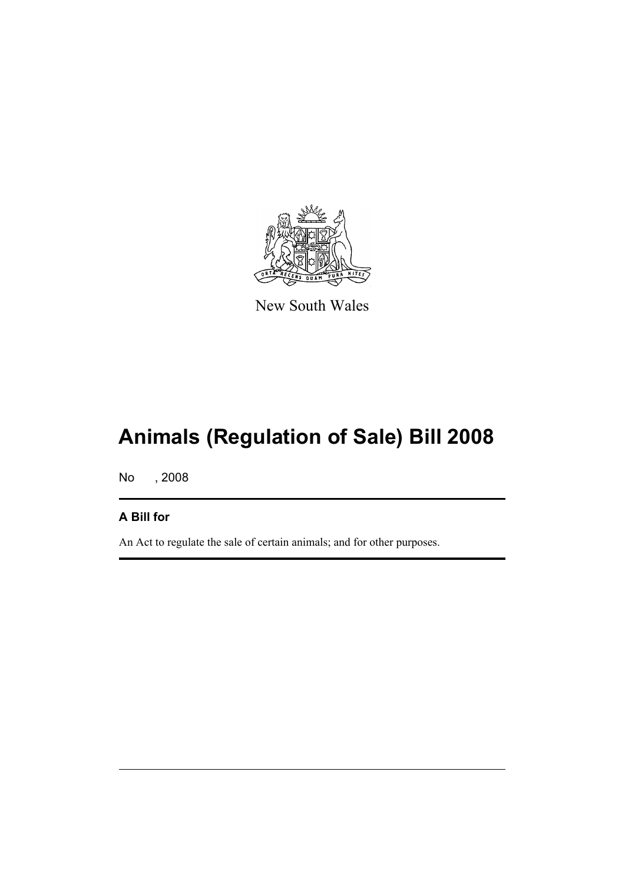

New South Wales

# **Animals (Regulation of Sale) Bill 2008**

No , 2008

# **A Bill for**

An Act to regulate the sale of certain animals; and for other purposes.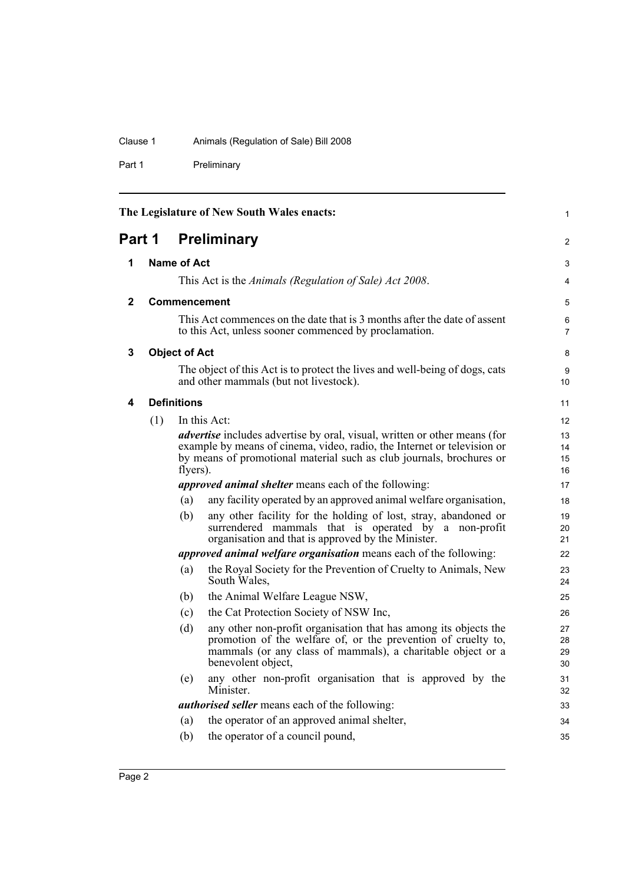### Clause 1 Animals (Regulation of Sale) Bill 2008

Part 1 Preliminary

<span id="page-7-4"></span><span id="page-7-3"></span><span id="page-7-2"></span><span id="page-7-1"></span><span id="page-7-0"></span>

| The Legislature of New South Wales enacts: |     |                      |                                                                                                                                   | $\mathbf{1}$        |
|--------------------------------------------|-----|----------------------|-----------------------------------------------------------------------------------------------------------------------------------|---------------------|
| <b>Preliminary</b><br>Part 1               |     |                      |                                                                                                                                   | $\overline{2}$      |
| 1                                          |     | <b>Name of Act</b>   |                                                                                                                                   | 3                   |
|                                            |     |                      | This Act is the Animals (Regulation of Sale) Act 2008.                                                                            | $\overline{4}$      |
| $\mathbf{2}$                               |     |                      | <b>Commencement</b>                                                                                                               | 5                   |
|                                            |     |                      | This Act commences on the date that is 3 months after the date of assent<br>to this Act, unless sooner commenced by proclamation. | 6<br>$\overline{7}$ |
| 3                                          |     | <b>Object of Act</b> |                                                                                                                                   | 8                   |
|                                            |     |                      | The object of this Act is to protect the lives and well-being of dogs, cats<br>and other mammals (but not livestock).             | 9<br>10             |
| 4                                          |     | <b>Definitions</b>   |                                                                                                                                   | 11                  |
|                                            | (1) |                      | In this Act:                                                                                                                      | 12                  |
|                                            |     |                      | <i>advertise</i> includes advertise by oral, visual, written or other means (for                                                  | 13                  |
|                                            |     |                      | example by means of cinema, video, radio, the Internet or television or                                                           | 14                  |
|                                            |     |                      | by means of promotional material such as club journals, brochures or                                                              | 15                  |
|                                            |     | flyers).             |                                                                                                                                   | 16                  |
|                                            |     |                      | <i>approved animal shelter</i> means each of the following:                                                                       | 17                  |
|                                            |     | (a)                  | any facility operated by an approved animal welfare organisation,                                                                 | 18                  |
|                                            |     | (b)                  | any other facility for the holding of lost, stray, abandoned or                                                                   | 19                  |
|                                            |     |                      | surrendered mammals that is operated by a non-profit<br>organisation and that is approved by the Minister.                        | 20<br>21            |
|                                            |     |                      | <i>approved animal welfare organisation</i> means each of the following:                                                          | 22                  |
|                                            |     | (a)                  | the Royal Society for the Prevention of Cruelty to Animals, New<br>South Wales,                                                   | 23<br>24            |
|                                            |     | (b)                  | the Animal Welfare League NSW,                                                                                                    | 25                  |
|                                            |     | (c)                  | the Cat Protection Society of NSW Inc.                                                                                            | 26                  |
|                                            |     | (d)                  | any other non-profit organisation that has among its objects the                                                                  | 27                  |
|                                            |     |                      | promotion of the welfare of, or the prevention of cruelty to,                                                                     | 28                  |
|                                            |     |                      | mammals (or any class of mammals), a charitable object or a                                                                       | 29                  |
|                                            |     |                      | benevolent object,                                                                                                                | 30                  |
|                                            |     | (e)                  | any other non-profit organisation that is approved by the<br>Minister.                                                            | 31                  |
|                                            |     |                      | <i>authorised seller</i> means each of the following:                                                                             | 32                  |
|                                            |     |                      |                                                                                                                                   | 33                  |
|                                            |     | (a)                  | the operator of an approved animal shelter,                                                                                       | 34                  |
|                                            |     | (b)                  | the operator of a council pound,                                                                                                  | 35                  |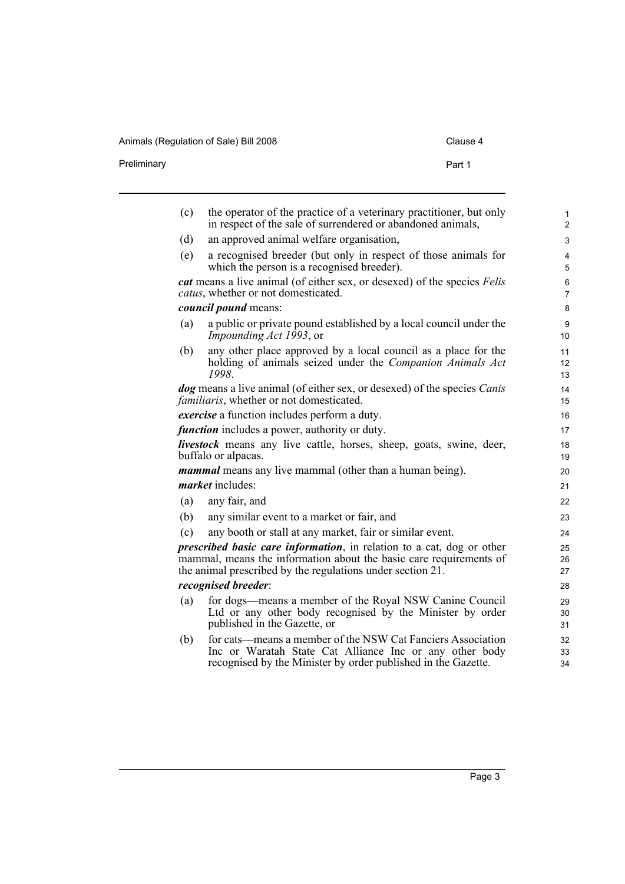Animals (Regulation of Sale) Bill 2008 Clause 4

| Preliminary<br>Part 1 | Alliniais (Regulation of Saic) Dill 2000 | Ulduot T |
|-----------------------|------------------------------------------|----------|
|                       |                                          |          |

| (c) | the operator of the practice of a veterinary practitioner, but only<br>in respect of the sale of surrendered or abandoned animals,                                                                                | 1<br>$\overline{2}$          |
|-----|-------------------------------------------------------------------------------------------------------------------------------------------------------------------------------------------------------------------|------------------------------|
| (d) | an approved animal welfare organisation,                                                                                                                                                                          | 3                            |
| (e) | a recognised breeder (but only in respect of those animals for<br>which the person is a recognised breeder).                                                                                                      | $\overline{\mathbf{4}}$<br>5 |
|     | cat means a live animal (of either sex, or desexed) of the species Felis<br>catus, whether or not domesticated.                                                                                                   | 6<br>$\overline{7}$          |
|     | <i>council pound</i> means:                                                                                                                                                                                       | 8                            |
| (a) | a public or private pound established by a local council under the<br><i>Impounding Act 1993</i> , or                                                                                                             | 9<br>10                      |
| (b) | any other place approved by a local council as a place for the<br>holding of animals seized under the <i>Companion Animals Act</i><br>1998.                                                                       | 11<br>12 <sup>2</sup><br>13  |
|     | <i>dog</i> means a live animal (of either sex, or desexed) of the species <i>Canis</i><br><i>familiaris</i> , whether or not domesticated.                                                                        | 14<br>15                     |
|     | exercise a function includes perform a duty.                                                                                                                                                                      | 16                           |
|     | <i>function</i> includes a power, authority or duty.                                                                                                                                                              | 17                           |
|     | <b>livestock</b> means any live cattle, horses, sheep, goats, swine, deer,<br>buffalo or alpacas.                                                                                                                 | 18<br>19                     |
|     | <i>mammal</i> means any live mammal (other than a human being).                                                                                                                                                   | 20                           |
|     | <i>market</i> includes:                                                                                                                                                                                           | 21                           |
| (a) | any fair, and                                                                                                                                                                                                     | 22                           |
| (b) | any similar event to a market or fair, and                                                                                                                                                                        | 23                           |
| (c) | any booth or stall at any market, fair or similar event.                                                                                                                                                          | 24                           |
|     | <i>prescribed basic care information</i> , in relation to a cat, dog or other<br>mammal, means the information about the basic care requirements of<br>the animal prescribed by the regulations under section 21. | 25<br>26<br>27               |
|     | recognised breeder:                                                                                                                                                                                               | 28                           |
| (a) | for dogs—means a member of the Royal NSW Canine Council<br>Ltd or any other body recognised by the Minister by order<br>published in the Gazette, or                                                              | 29<br>30<br>31               |
| (b) | for cats—means a member of the NSW Cat Fanciers Association<br>Inc or Waratah State Cat Alliance Inc or any other body<br>recognised by the Minister by order published in the Gazette.                           | 32<br>33<br>34               |
|     |                                                                                                                                                                                                                   |                              |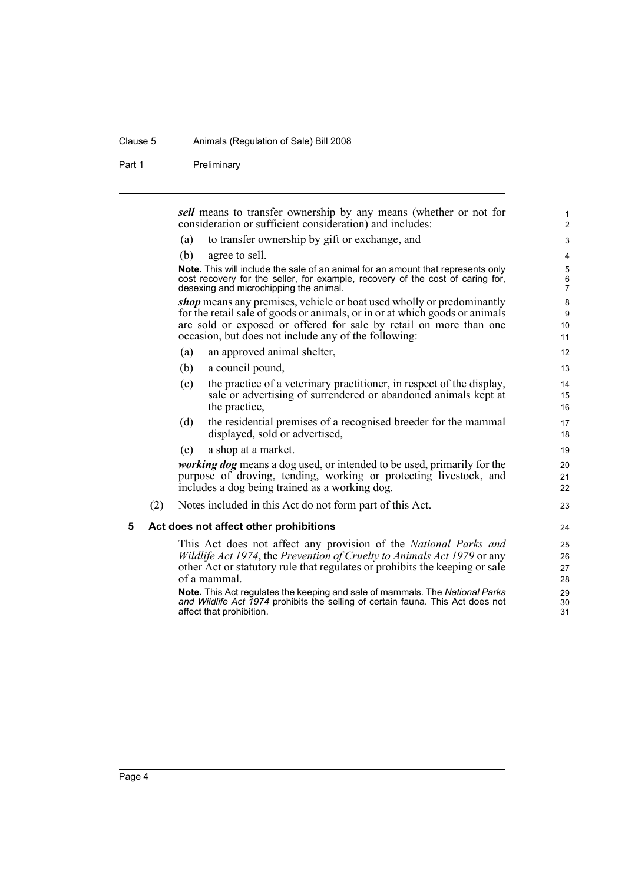#### Clause 5 Animals (Regulation of Sale) Bill 2008

Part 1 Preliminary

*sell* means to transfer ownership by any means (whether or not for consideration or sufficient consideration) and includes:

- (a) to transfer ownership by gift or exchange, and
- (b) agree to sell.

**Note.** This will include the sale of an animal for an amount that represents only cost recovery for the seller, for example, recovery of the cost of caring for, desexing and microchipping the animal.

*shop* means any premises, vehicle or boat used wholly or predominantly for the retail sale of goods or animals, or in or at which goods or animals are sold or exposed or offered for sale by retail on more than one occasion, but does not include any of the following:

- (a) an approved animal shelter,
- (b) a council pound,
- (c) the practice of a veterinary practitioner, in respect of the display, sale or advertising of surrendered or abandoned animals kept at the practice,
- (d) the residential premises of a recognised breeder for the mammal displayed, sold or advertised,
- (e) a shop at a market.

*working dog* means a dog used, or intended to be used, primarily for the purpose of droving, tending, working or protecting livestock, and includes a dog being trained as a working dog.

(2) Notes included in this Act do not form part of this Act.

#### <span id="page-9-0"></span>**5 Act does not affect other prohibitions**

This Act does not affect any provision of the *National Parks and Wildlife Act 1974*, the *Prevention of Cruelty to Animals Act 1979* or any other Act or statutory rule that regulates or prohibits the keeping or sale of a mammal.

**Note.** This Act regulates the keeping and sale of mammals. The *National Parks and Wildlife Act 1974* prohibits the selling of certain fauna. This Act does not affect that prohibition.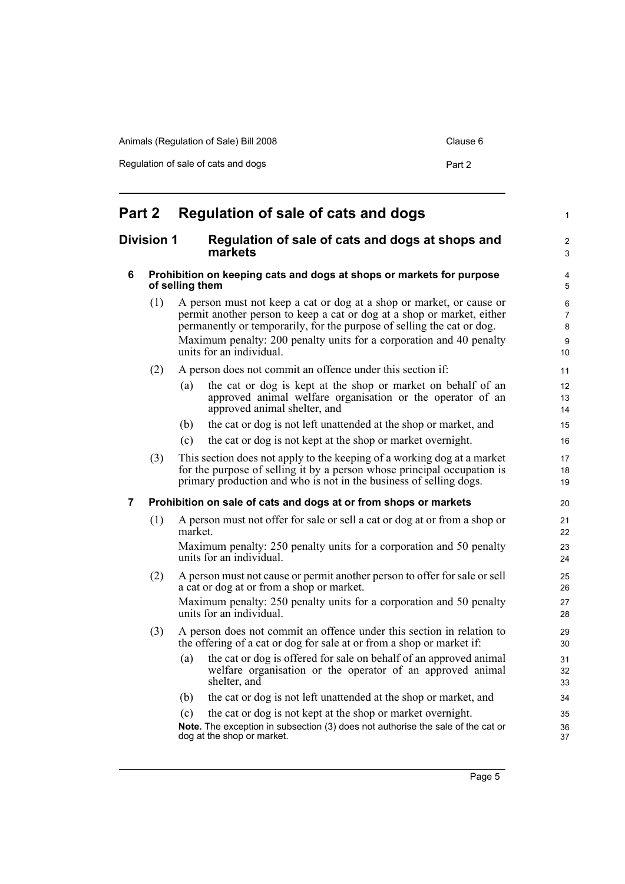| Animals (Regulation of Sale) Bill 2008 | Clause 6 |
|----------------------------------------|----------|
| Regulation of sale of cats and dogs    | Part 2   |

<span id="page-10-3"></span><span id="page-10-2"></span><span id="page-10-1"></span><span id="page-10-0"></span>

| Part 2 |                                                                                  | Regulation of sale of cats and dogs                                                                                                                                                                                                                                                                                         | 1                                   |
|--------|----------------------------------------------------------------------------------|-----------------------------------------------------------------------------------------------------------------------------------------------------------------------------------------------------------------------------------------------------------------------------------------------------------------------------|-------------------------------------|
|        | <b>Division 1</b><br>Regulation of sale of cats and dogs at shops and<br>markets |                                                                                                                                                                                                                                                                                                                             |                                     |
| 6      |                                                                                  | Prohibition on keeping cats and dogs at shops or markets for purpose<br>of selling them                                                                                                                                                                                                                                     | 4<br>5                              |
|        | (1)                                                                              | A person must not keep a cat or dog at a shop or market, or cause or<br>permit another person to keep a cat or dog at a shop or market, either<br>permanently or temporarily, for the purpose of selling the cat or dog.<br>Maximum penalty: 200 penalty units for a corporation and 40 penalty<br>units for an individual. | 6<br>$\overline{7}$<br>8<br>9<br>10 |
|        | (2)                                                                              | A person does not commit an offence under this section if:                                                                                                                                                                                                                                                                  | 11                                  |
|        |                                                                                  | the cat or dog is kept at the shop or market on behalf of an<br>(a)<br>approved animal welfare organisation or the operator of an<br>approved animal shelter, and                                                                                                                                                           | 12<br>13<br>14                      |
|        |                                                                                  | the cat or dog is not left unattended at the shop or market, and<br>(b)                                                                                                                                                                                                                                                     | 15                                  |
|        |                                                                                  | the cat or dog is not kept at the shop or market overnight.<br>(c)                                                                                                                                                                                                                                                          | 16                                  |
|        | (3)                                                                              | This section does not apply to the keeping of a working dog at a market<br>for the purpose of selling it by a person whose principal occupation is<br>primary production and who is not in the business of selling dogs.                                                                                                    | 17<br>18<br>19                      |
| 7      |                                                                                  | Prohibition on sale of cats and dogs at or from shops or markets                                                                                                                                                                                                                                                            | 20                                  |
|        | (1)                                                                              | A person must not offer for sale or sell a cat or dog at or from a shop or<br>market.<br>Maximum penalty: 250 penalty units for a corporation and 50 penalty<br>units for an individual.                                                                                                                                    | 21<br>22<br>23<br>24                |
|        | (2)                                                                              | A person must not cause or permit another person to offer for sale or sell<br>a cat or dog at or from a shop or market.<br>Maximum penalty: 250 penalty units for a corporation and 50 penalty<br>units for an individual.                                                                                                  | 25<br>26<br>27<br>28                |
|        | (3)                                                                              | A person does not commit an offence under this section in relation to<br>the offering of a cat or dog for sale at or from a shop or market if:                                                                                                                                                                              | 29<br>30                            |
|        |                                                                                  | the cat or dog is offered for sale on behalf of an approved animal<br>(a)<br>welfare organisation or the operator of an approved animal<br>shelter, and                                                                                                                                                                     | 31<br>32<br>33                      |
|        |                                                                                  | the cat or dog is not left unattended at the shop or market, and<br>(b)                                                                                                                                                                                                                                                     | 34                                  |
|        |                                                                                  | the cat or dog is not kept at the shop or market overnight.<br>(c)<br>Note. The exception in subsection (3) does not authorise the sale of the cat or<br>dog at the shop or market.                                                                                                                                         | 35<br>36<br>37                      |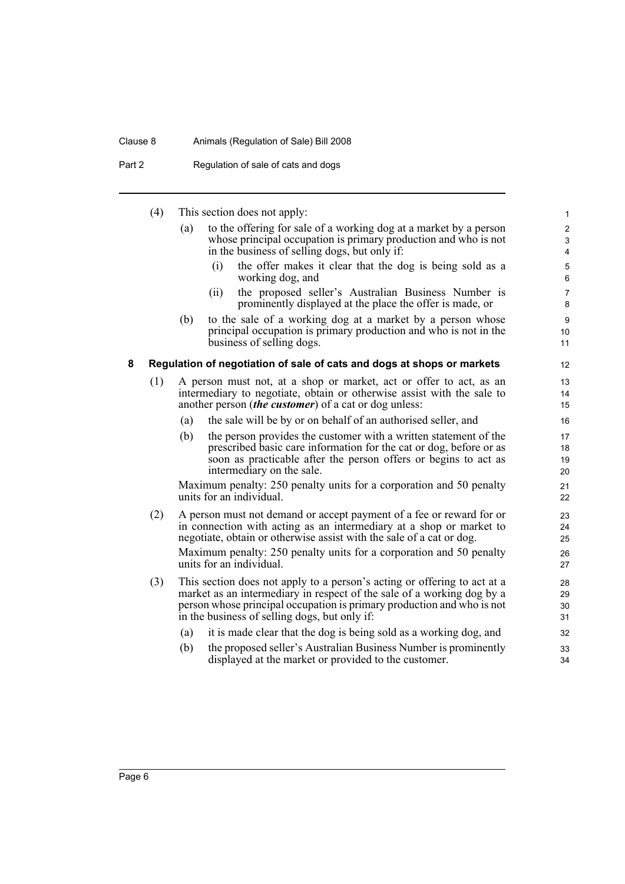### Clause 8 Animals (Regulation of Sale) Bill 2008

Part 2 Regulation of sale of cats and dogs

<span id="page-11-0"></span>

|   | (4) |     | This section does not apply:                                                                                                                                                                                                                                                                                           | 1                                                      |
|---|-----|-----|------------------------------------------------------------------------------------------------------------------------------------------------------------------------------------------------------------------------------------------------------------------------------------------------------------------------|--------------------------------------------------------|
|   |     | (a) | to the offering for sale of a working dog at a market by a person<br>whose principal occupation is primary production and who is not<br>in the business of selling dogs, but only if:<br>(i)<br>the offer makes it clear that the dog is being sold as a                                                               | $\boldsymbol{2}$<br>3<br>$\overline{4}$<br>$\mathbf 5$ |
|   |     |     | working dog, and                                                                                                                                                                                                                                                                                                       | 6                                                      |
|   |     |     | the proposed seller's Australian Business Number is<br>(ii)<br>prominently displayed at the place the offer is made, or                                                                                                                                                                                                | $\overline{7}$<br>8                                    |
|   |     | (b) | to the sale of a working dog at a market by a person whose<br>principal occupation is primary production and who is not in the<br>business of selling dogs.                                                                                                                                                            | $\boldsymbol{9}$<br>10<br>11                           |
| 8 |     |     | Regulation of negotiation of sale of cats and dogs at shops or markets                                                                                                                                                                                                                                                 | 12                                                     |
|   | (1) |     | A person must not, at a shop or market, act or offer to act, as an<br>intermediary to negotiate, obtain or otherwise assist with the sale to<br>another person <i>(the customer)</i> of a cat or dog unless:                                                                                                           | 13<br>14<br>15                                         |
|   |     | (a) | the sale will be by or on behalf of an authorised seller, and                                                                                                                                                                                                                                                          | 16                                                     |
|   |     | (b) | the person provides the customer with a written statement of the<br>prescribed basic care information for the cat or dog, before or as<br>soon as practicable after the person offers or begins to act as<br>intermediary on the sale.                                                                                 | 17<br>18<br>19<br>20                                   |
|   |     |     | Maximum penalty: 250 penalty units for a corporation and 50 penalty<br>units for an individual.                                                                                                                                                                                                                        | 21<br>22                                               |
|   | (2) |     | A person must not demand or accept payment of a fee or reward for or<br>in connection with acting as an intermediary at a shop or market to<br>negotiate, obtain or otherwise assist with the sale of a cat or dog.<br>Maximum penalty: 250 penalty units for a corporation and 50 penalty<br>units for an individual. | 23<br>24<br>25<br>26<br>27                             |
|   | (3) |     | This section does not apply to a person's acting or offering to act at a<br>market as an intermediary in respect of the sale of a working dog by a<br>person whose principal occupation is primary production and who is not<br>in the business of selling dogs, but only if:                                          | 28<br>29<br>30<br>31                                   |
|   |     | (a) | it is made clear that the dog is being sold as a working dog, and                                                                                                                                                                                                                                                      | 32                                                     |
|   |     | (b) | the proposed seller's Australian Business Number is prominently<br>displayed at the market or provided to the customer.                                                                                                                                                                                                | 33<br>34                                               |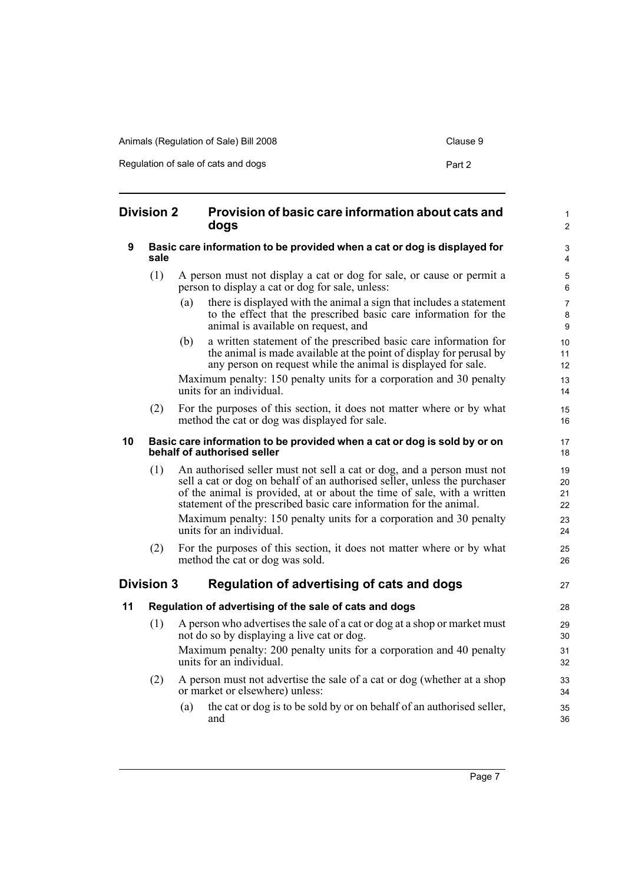| Animals (Regulation of Sale) Bill 2008 | Clause 9 |
|----------------------------------------|----------|
| Regulation of sale of cats and dogs    | Part 2   |

<span id="page-12-4"></span><span id="page-12-3"></span><span id="page-12-2"></span><span id="page-12-1"></span><span id="page-12-0"></span>

| <b>Division 2</b> |                   | Provision of basic care information about cats and<br>dogs                                                                                                                                                                                                                                           | $\mathbf{1}$<br>$\mathbf{2}$ |
|-------------------|-------------------|------------------------------------------------------------------------------------------------------------------------------------------------------------------------------------------------------------------------------------------------------------------------------------------------------|------------------------------|
| 9                 | sale              | Basic care information to be provided when a cat or dog is displayed for                                                                                                                                                                                                                             | 3<br>$\overline{4}$          |
|                   | (1)               | A person must not display a cat or dog for sale, or cause or permit a<br>person to display a cat or dog for sale, unless:                                                                                                                                                                            | $\overline{5}$<br>6          |
|                   |                   | there is displayed with the animal a sign that includes a statement<br>(a)<br>to the effect that the prescribed basic care information for the<br>animal is available on request, and                                                                                                                | $\overline{7}$<br>8<br>9     |
|                   |                   | a written statement of the prescribed basic care information for<br>(b)<br>the animal is made available at the point of display for perusal by<br>any person on request while the animal is displayed for sale.                                                                                      | 10<br>11<br>12               |
|                   |                   | Maximum penalty: 150 penalty units for a corporation and 30 penalty<br>units for an individual.                                                                                                                                                                                                      | 13<br>14                     |
|                   | (2)               | For the purposes of this section, it does not matter where or by what<br>method the cat or dog was displayed for sale.                                                                                                                                                                               | 15<br>16                     |
| 10                |                   | Basic care information to be provided when a cat or dog is sold by or on<br>behalf of authorised seller                                                                                                                                                                                              | 17<br>18                     |
|                   | (1)               | An authorised seller must not sell a cat or dog, and a person must not<br>sell a cat or dog on behalf of an authorised seller, unless the purchaser<br>of the animal is provided, at or about the time of sale, with a written<br>statement of the prescribed basic care information for the animal. | 19<br>20<br>21<br>22         |
|                   |                   | Maximum penalty: 150 penalty units for a corporation and 30 penalty<br>units for an individual.                                                                                                                                                                                                      | 23<br>24                     |
|                   | (2)               | For the purposes of this section, it does not matter where or by what<br>method the cat or dog was sold.                                                                                                                                                                                             | 25<br>26                     |
|                   | <b>Division 3</b> | Regulation of advertising of cats and dogs                                                                                                                                                                                                                                                           | 27                           |
| 11                |                   | Regulation of advertising of the sale of cats and dogs                                                                                                                                                                                                                                               | 28                           |
|                   | (1)               | A person who advertises the sale of a cat or dog at a shop or market must<br>not do so by displaying a live cat or dog.                                                                                                                                                                              | 29<br>30                     |
|                   |                   | Maximum penalty: 200 penalty units for a corporation and 40 penalty<br>units for an individual.                                                                                                                                                                                                      | 31<br>32                     |
|                   | (2)               | A person must not advertise the sale of a cat or dog (whether at a shop<br>or market or elsewhere) unless:                                                                                                                                                                                           | 33<br>34                     |
|                   |                   | the cat or dog is to be sold by or on behalf of an authorised seller,<br>(a)<br>and                                                                                                                                                                                                                  | 35<br>36                     |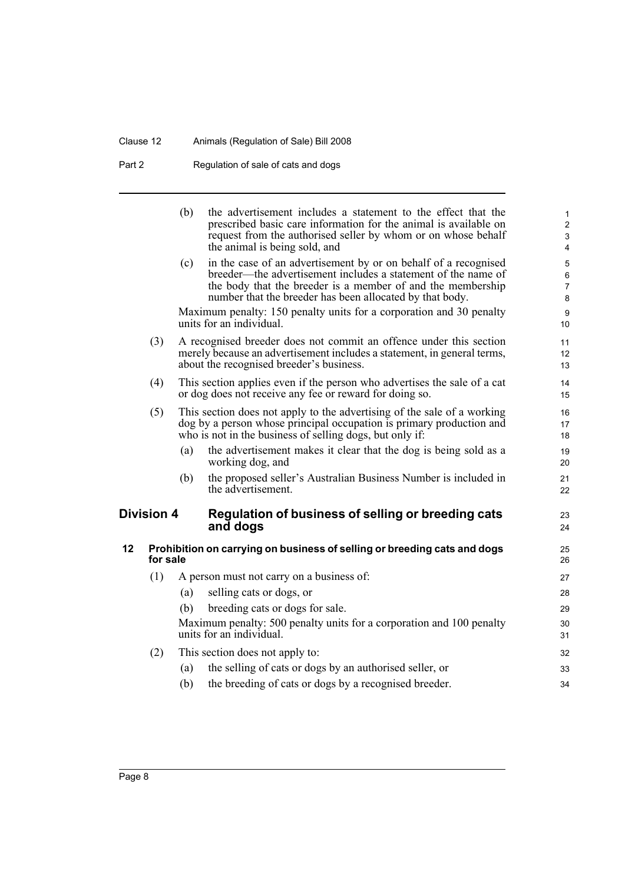## Clause 12 Animals (Regulation of Sale) Bill 2008

Part 2 Regulation of sale of cats and dogs

<span id="page-13-1"></span><span id="page-13-0"></span>

|    |                   | (b) | the advertisement includes a statement to the effect that the<br>prescribed basic care information for the animal is available on<br>request from the authorised seller by whom or on whose behalf<br>the animal is being sold, and                         | $\mathbf{1}$<br>$\overline{2}$<br>$\ensuremath{\mathsf{3}}$<br>$\overline{4}$ |
|----|-------------------|-----|-------------------------------------------------------------------------------------------------------------------------------------------------------------------------------------------------------------------------------------------------------------|-------------------------------------------------------------------------------|
|    |                   | (c) | in the case of an advertisement by or on behalf of a recognised<br>breeder—the advertisement includes a statement of the name of<br>the body that the breeder is a member of and the membership<br>number that the breeder has been allocated by that body. | $\overline{5}$<br>$\,6\,$<br>$\overline{7}$<br>$\bf 8$                        |
|    |                   |     | Maximum penalty: 150 penalty units for a corporation and 30 penalty<br>units for an individual.                                                                                                                                                             | $\boldsymbol{9}$<br>10                                                        |
|    | (3)               |     | A recognised breeder does not commit an offence under this section<br>merely because an advertisement includes a statement, in general terms,<br>about the recognised breeder's business.                                                                   | 11<br>12<br>13                                                                |
|    | (4)               |     | This section applies even if the person who advertises the sale of a cat<br>or dog does not receive any fee or reward for doing so.                                                                                                                         | 14<br>15                                                                      |
|    | (5)               |     | This section does not apply to the advertising of the sale of a working<br>dog by a person whose principal occupation is primary production and<br>who is not in the business of selling dogs, but only if:                                                 | 16<br>17<br>18                                                                |
|    |                   | (a) | the advertisement makes it clear that the dog is being sold as a<br>working dog, and                                                                                                                                                                        | 19<br>20                                                                      |
|    |                   | (b) | the proposed seller's Australian Business Number is included in<br>the advertisement.                                                                                                                                                                       | 21<br>22                                                                      |
|    | <b>Division 4</b> |     | Regulation of business of selling or breeding cats<br>and dogs                                                                                                                                                                                              | 23<br>24                                                                      |
| 12 | for sale          |     | Prohibition on carrying on business of selling or breeding cats and dogs                                                                                                                                                                                    | 25<br>26                                                                      |
|    | (1)               |     | A person must not carry on a business of:                                                                                                                                                                                                                   | 27                                                                            |
|    |                   | (a) | selling cats or dogs, or                                                                                                                                                                                                                                    | 28                                                                            |
|    |                   | (b) | breeding cats or dogs for sale.                                                                                                                                                                                                                             | 29                                                                            |
|    |                   |     | Maximum penalty: 500 penalty units for a corporation and 100 penalty<br>units for an individual.                                                                                                                                                            | 30<br>31                                                                      |
|    | (2)               |     | This section does not apply to:                                                                                                                                                                                                                             | 32                                                                            |
|    |                   | (a) | the selling of cats or dogs by an authorised seller, or                                                                                                                                                                                                     | 33                                                                            |
|    |                   | (b) | the breeding of cats or dogs by a recognised breeder.                                                                                                                                                                                                       | 34                                                                            |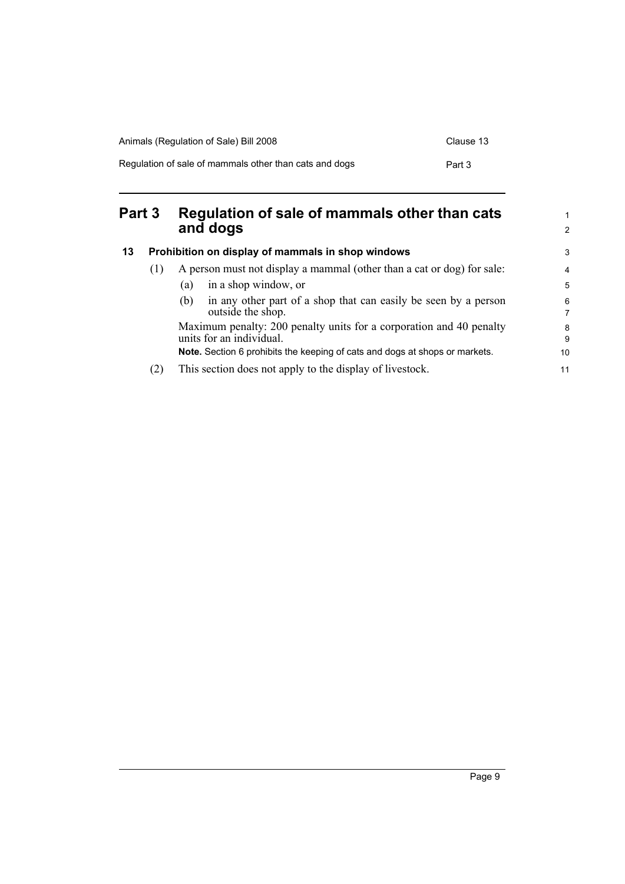| Animals (Regulation of Sale) Bill 2008                 | Clause 13 |
|--------------------------------------------------------|-----------|
| Regulation of sale of mammals other than cats and dogs | Part 3    |

## <span id="page-14-0"></span>**Part 3 Regulation of sale of mammals other than cats and dogs**

<span id="page-14-1"></span>

| 13 | Prohibition on display of mammals in shop windows |                                                                                                 |        |
|----|---------------------------------------------------|-------------------------------------------------------------------------------------------------|--------|
|    | (1)                                               | A person must not display a mammal (other than a cat or dog) for sale:                          |        |
|    |                                                   | in a shop window, or<br>(a)                                                                     | 5      |
|    |                                                   | in any other part of a shop that can easily be seen by a person<br>(b)<br>outside the shop.     | 6<br>7 |
|    |                                                   | Maximum penalty: 200 penalty units for a corporation and 40 penalty<br>units for an individual. |        |
|    |                                                   | Note. Section 6 prohibits the keeping of cats and dogs at shops or markets.                     | 10     |
|    | (2)                                               | This section does not apply to the display of livestock.                                        | 11     |

1 2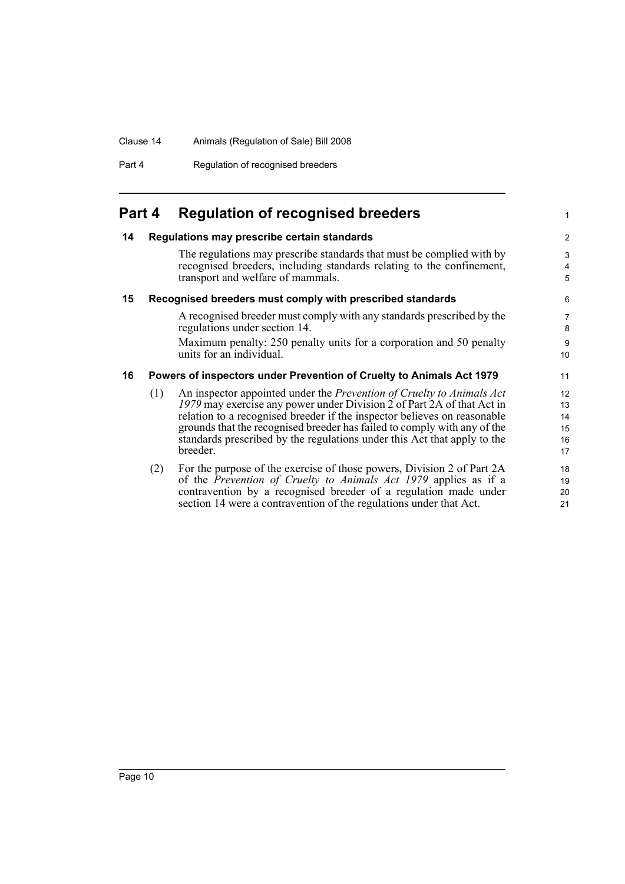### Clause 14 Animals (Regulation of Sale) Bill 2008

Part 4 Regulation of recognised breeders

## <span id="page-15-0"></span>**Part 4 Regulation of recognised breeders**

### <span id="page-15-1"></span>**14 Regulations may prescribe certain standards**

The regulations may prescribe standards that must be complied with by recognised breeders, including standards relating to the confinement, transport and welfare of mammals.

1

### <span id="page-15-2"></span>**15 Recognised breeders must comply with prescribed standards**

A recognised breeder must comply with any standards prescribed by the regulations under section 14.

Maximum penalty: 250 penalty units for a corporation and 50 penalty units for an individual.

### <span id="page-15-3"></span>**16 Powers of inspectors under Prevention of Cruelty to Animals Act 1979**

- (1) An inspector appointed under the *Prevention of Cruelty to Animals Act 1979* may exercise any power under Division 2 of Part 2A of that Act in relation to a recognised breeder if the inspector believes on reasonable grounds that the recognised breeder has failed to comply with any of the standards prescribed by the regulations under this Act that apply to the breeder.
- (2) For the purpose of the exercise of those powers, Division 2 of Part 2A of the *Prevention of Cruelty to Animals Act 1979* applies as if a contravention by a recognised breeder of a regulation made under section 14 were a contravention of the regulations under that Act.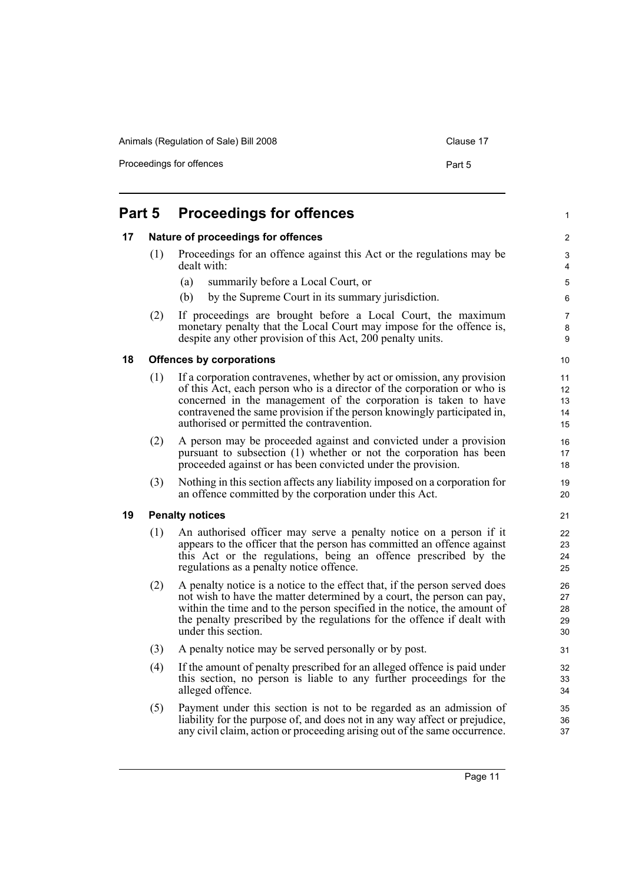Animals (Regulation of Sale) Bill 2008 Clause 17

Proceedings for offences

| ۰,<br>× |  |
|---------|--|
|         |  |

<span id="page-16-3"></span><span id="page-16-2"></span><span id="page-16-1"></span><span id="page-16-0"></span>

| Part 5 |     | <b>Proceedings for offences</b>                                                                                                                                                                                                                                                                                                                |                            |  |
|--------|-----|------------------------------------------------------------------------------------------------------------------------------------------------------------------------------------------------------------------------------------------------------------------------------------------------------------------------------------------------|----------------------------|--|
| 17     |     | Nature of proceedings for offences                                                                                                                                                                                                                                                                                                             | $\overline{c}$             |  |
|        | (1) | Proceedings for an offence against this Act or the regulations may be<br>dealt with:                                                                                                                                                                                                                                                           |                            |  |
|        |     | summarily before a Local Court, or<br>(a)                                                                                                                                                                                                                                                                                                      | $\mathbf 5$                |  |
|        |     | (b)<br>by the Supreme Court in its summary jurisdiction.                                                                                                                                                                                                                                                                                       | 6                          |  |
|        | (2) | If proceedings are brought before a Local Court, the maximum<br>monetary penalty that the Local Court may impose for the offence is,<br>despite any other provision of this Act, 200 penalty units.                                                                                                                                            | 7<br>8<br>9                |  |
| 18     |     | <b>Offences by corporations</b>                                                                                                                                                                                                                                                                                                                | 10                         |  |
|        | (1) | If a corporation contravenes, whether by act or omission, any provision<br>of this Act, each person who is a director of the corporation or who is<br>concerned in the management of the corporation is taken to have<br>contravened the same provision if the person knowingly participated in,<br>authorised or permitted the contravention. | 11<br>12<br>13<br>14<br>15 |  |
|        | (2) | A person may be proceeded against and convicted under a provision<br>pursuant to subsection (1) whether or not the corporation has been<br>proceeded against or has been convicted under the provision.                                                                                                                                        | 16<br>17<br>18             |  |
|        | (3) | Nothing in this section affects any liability imposed on a corporation for<br>an offence committed by the corporation under this Act.                                                                                                                                                                                                          | 19<br>20                   |  |
| 19     |     | <b>Penalty notices</b>                                                                                                                                                                                                                                                                                                                         | 21                         |  |
|        | (1) | An authorised officer may serve a penalty notice on a person if it<br>appears to the officer that the person has committed an offence against<br>this Act or the regulations, being an offence prescribed by the<br>regulations as a penalty notice offence.                                                                                   | 22<br>23<br>24<br>25       |  |
|        | (2) | A penalty notice is a notice to the effect that, if the person served does<br>not wish to have the matter determined by a court, the person can pay,<br>within the time and to the person specified in the notice, the amount of<br>the penalty prescribed by the regulations for the offence if dealt with<br>under this section.             | 26<br>27<br>28<br>29<br>30 |  |
|        | (3) | A penalty notice may be served personally or by post.                                                                                                                                                                                                                                                                                          | 31                         |  |
|        | (4) | If the amount of penalty prescribed for an alleged offence is paid under<br>this section, no person is liable to any further proceedings for the<br>alleged offence.                                                                                                                                                                           | 32<br>33<br>34             |  |
|        | (5) | Payment under this section is not to be regarded as an admission of<br>liability for the purpose of, and does not in any way affect or prejudice,<br>any civil claim, action or proceeding arising out of the same occurrence.                                                                                                                 | 35<br>36<br>37             |  |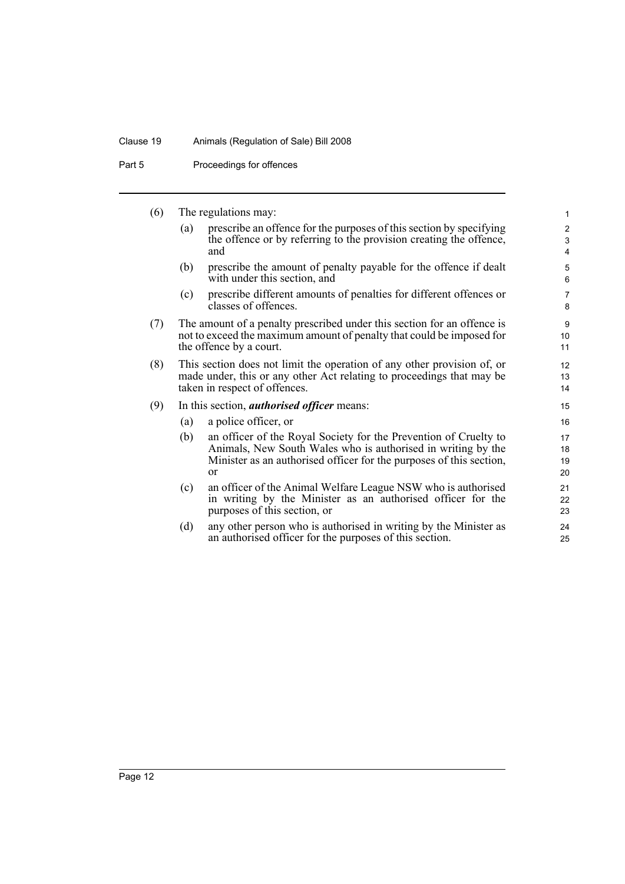### Clause 19 Animals (Regulation of Sale) Bill 2008

Part 5 Proceedings for offences

|     | (6) | The regulations may:                                                                                                                                                              |                                                                                                                                                                                                                          |                                                |  |  |
|-----|-----|-----------------------------------------------------------------------------------------------------------------------------------------------------------------------------------|--------------------------------------------------------------------------------------------------------------------------------------------------------------------------------------------------------------------------|------------------------------------------------|--|--|
|     |     | (a)                                                                                                                                                                               | prescribe an offence for the purposes of this section by specifying<br>the offence or by referring to the provision creating the offence,<br>and                                                                         | $\overline{\mathbf{c}}$<br>3<br>$\overline{4}$ |  |  |
|     |     | (b)                                                                                                                                                                               | prescribe the amount of penalty payable for the offence if dealt<br>with under this section, and                                                                                                                         | 5<br>6                                         |  |  |
|     |     | (c)                                                                                                                                                                               | prescribe different amounts of penalties for different offences or<br>classes of offences.                                                                                                                               | $\overline{7}$<br>8                            |  |  |
|     | (7) | The amount of a penalty prescribed under this section for an offence is<br>not to exceed the maximum amount of penalty that could be imposed for<br>the offence by a court.       |                                                                                                                                                                                                                          |                                                |  |  |
|     | (8) | This section does not limit the operation of any other provision of, or<br>made under, this or any other Act relating to proceedings that may be<br>taken in respect of offences. |                                                                                                                                                                                                                          |                                                |  |  |
| (9) |     | In this section, <i>authorised officer</i> means:<br>15                                                                                                                           |                                                                                                                                                                                                                          |                                                |  |  |
|     |     | (a)                                                                                                                                                                               | a police officer, or                                                                                                                                                                                                     | 16                                             |  |  |
|     |     | (b)                                                                                                                                                                               | an officer of the Royal Society for the Prevention of Cruelty to<br>Animals, New South Wales who is authorised in writing by the<br>Minister as an authorised officer for the purposes of this section,<br><sub>or</sub> | 17<br>18<br>19<br>20                           |  |  |
|     |     | (c)                                                                                                                                                                               | an officer of the Animal Welfare League NSW who is authorised<br>in writing by the Minister as an authorised officer for the<br>purposes of this section, or                                                             | 21<br>22<br>23                                 |  |  |
|     |     | (d)                                                                                                                                                                               | any other person who is authorised in writing by the Minister as<br>an authorised officer for the purposes of this section.                                                                                              | 24<br>25                                       |  |  |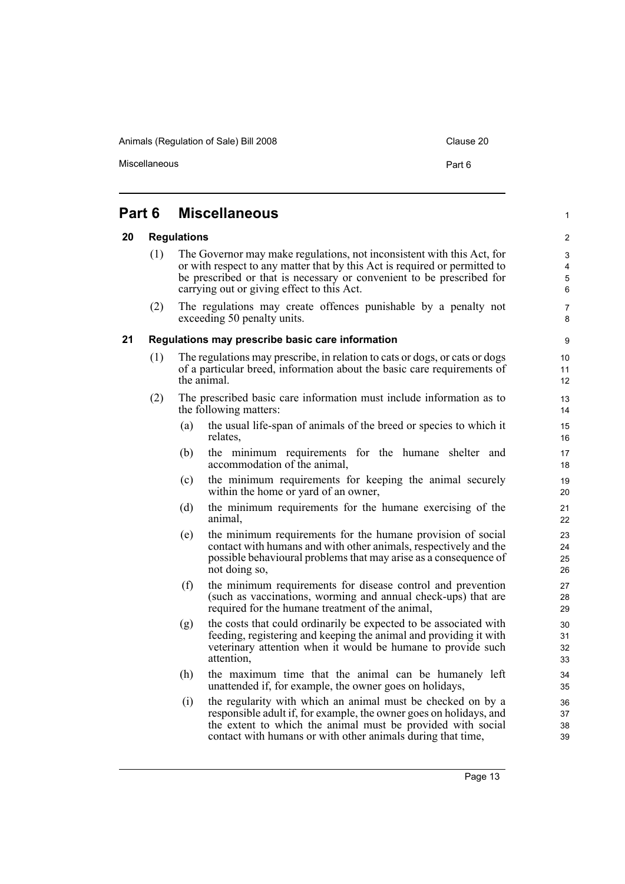Animals (Regulation of Sale) Bill 2008 Clause 20

Miscellaneous **Part 6** 

1

9

#### <span id="page-18-2"></span><span id="page-18-1"></span><span id="page-18-0"></span>**Part 6 Miscellaneous 20 Regulations** (1) The Governor may make regulations, not inconsistent with this Act, for or with respect to any matter that by this Act is required or permitted to be prescribed or that is necessary or convenient to be prescribed for carrying out or giving effect to this Act. (2) The regulations may create offences punishable by a penalty not exceeding 50 penalty units. **21 Regulations may prescribe basic care information** (1) The regulations may prescribe, in relation to cats or dogs, or cats or dogs of a particular breed, information about the basic care requirements of the animal. (2) The prescribed basic care information must include information as to the following matters: (a) the usual life-span of animals of the breed or species to which it relates, (b) the minimum requirements for the humane shelter and accommodation of the animal, (c) the minimum requirements for keeping the animal securely within the home or yard of an owner, (d) the minimum requirements for the humane exercising of the animal, (e) the minimum requirements for the humane provision of social contact with humans and with other animals, respectively and the possible behavioural problems that may arise as a consequence of not doing so, (f) the minimum requirements for disease control and prevention (such as vaccinations, worming and annual check-ups) that are required for the humane treatment of the animal, (g) the costs that could ordinarily be expected to be associated with feeding, registering and keeping the animal and providing it with veterinary attention when it would be humane to provide such attention, (h) the maximum time that the animal can be humanely left unattended if, for example, the owner goes on holidays, (i) the regularity with which an animal must be checked on by a responsible adult if, for example, the owner goes on holidays, and the extent to which the animal must be provided with social contact with humans or with other animals during that time,  $1<sub>0</sub>$ 11 12 13 14 15 16 17 18 19 20 21 22 23 24 25 26 27 28 29 30 31 32 33 34 35 36 37 38 39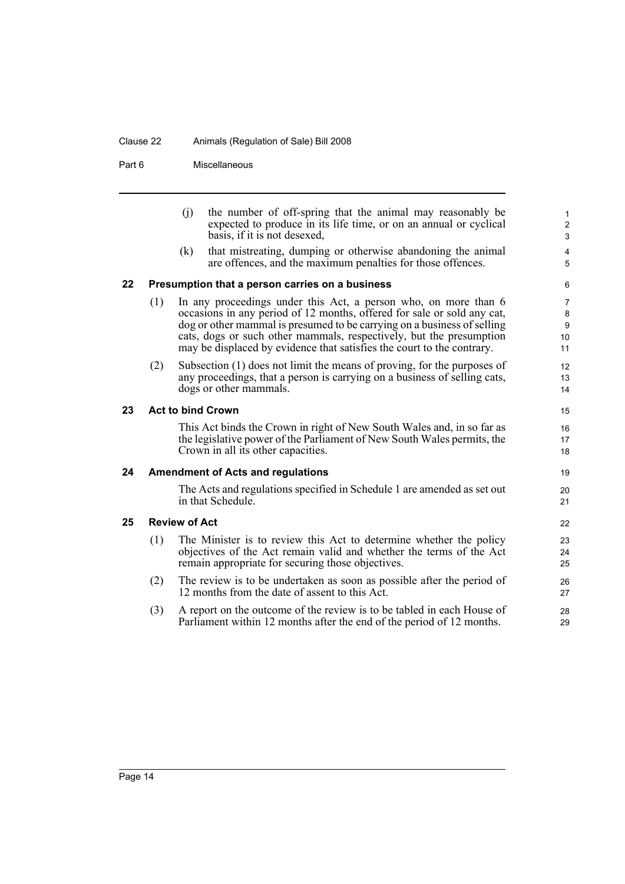### Clause 22 Animals (Regulation of Sale) Bill 2008

Part 6 Miscellaneous

<span id="page-19-3"></span><span id="page-19-2"></span><span id="page-19-1"></span><span id="page-19-0"></span>

|    |                                          | (i)<br>(k) | the number of off-spring that the animal may reasonably be<br>expected to produce in its life time, or on an annual or cyclical<br>basis, if it is not desexed,<br>that mistreating, dumping or otherwise abandoning the animal                                                                                                                                        | $\mathbf{1}$<br>$\overline{\mathbf{c}}$<br>$\mathfrak{S}$<br>4 |  |
|----|------------------------------------------|------------|------------------------------------------------------------------------------------------------------------------------------------------------------------------------------------------------------------------------------------------------------------------------------------------------------------------------------------------------------------------------|----------------------------------------------------------------|--|
|    |                                          |            | are offences, and the maximum penalties for those offences.                                                                                                                                                                                                                                                                                                            | 5                                                              |  |
| 22 |                                          |            | Presumption that a person carries on a business                                                                                                                                                                                                                                                                                                                        | 6                                                              |  |
|    | (1)                                      |            | In any proceedings under this Act, a person who, on more than 6<br>occasions in any period of 12 months, offered for sale or sold any cat,<br>dog or other mammal is presumed to be carrying on a business of selling<br>cats, dogs or such other mammals, respectively, but the presumption<br>may be displaced by evidence that satisfies the court to the contrary. | $\overline{7}$<br>8<br>$\boldsymbol{9}$<br>10<br>11            |  |
|    | (2)                                      |            | Subsection (1) does not limit the means of proving, for the purposes of<br>any proceedings, that a person is carrying on a business of selling cats,<br>dogs or other mammals.                                                                                                                                                                                         | 12<br>13<br>14                                                 |  |
| 23 | <b>Act to bind Crown</b>                 |            |                                                                                                                                                                                                                                                                                                                                                                        |                                                                |  |
|    |                                          |            | This Act binds the Crown in right of New South Wales and, in so far as<br>the legislative power of the Parliament of New South Wales permits, the<br>Crown in all its other capacities.                                                                                                                                                                                | 16<br>17<br>18                                                 |  |
| 24 | <b>Amendment of Acts and regulations</b> |            |                                                                                                                                                                                                                                                                                                                                                                        |                                                                |  |
|    |                                          |            | The Acts and regulations specified in Schedule 1 are amended as set out<br>in that Schedule.                                                                                                                                                                                                                                                                           | 20<br>21                                                       |  |
| 25 | <b>Review of Act</b>                     |            |                                                                                                                                                                                                                                                                                                                                                                        |                                                                |  |
|    | (1)                                      |            | The Minister is to review this Act to determine whether the policy<br>objectives of the Act remain valid and whether the terms of the Act<br>remain appropriate for securing those objectives.                                                                                                                                                                         | 23<br>24<br>25                                                 |  |
|    | (2)                                      |            | The review is to be undertaken as soon as possible after the period of<br>12 months from the date of assent to this Act.                                                                                                                                                                                                                                               | 26<br>27                                                       |  |
|    | (3)                                      |            | A report on the outcome of the review is to be tabled in each House of<br>Parliament within 12 months after the end of the period of 12 months.                                                                                                                                                                                                                        | 28<br>29                                                       |  |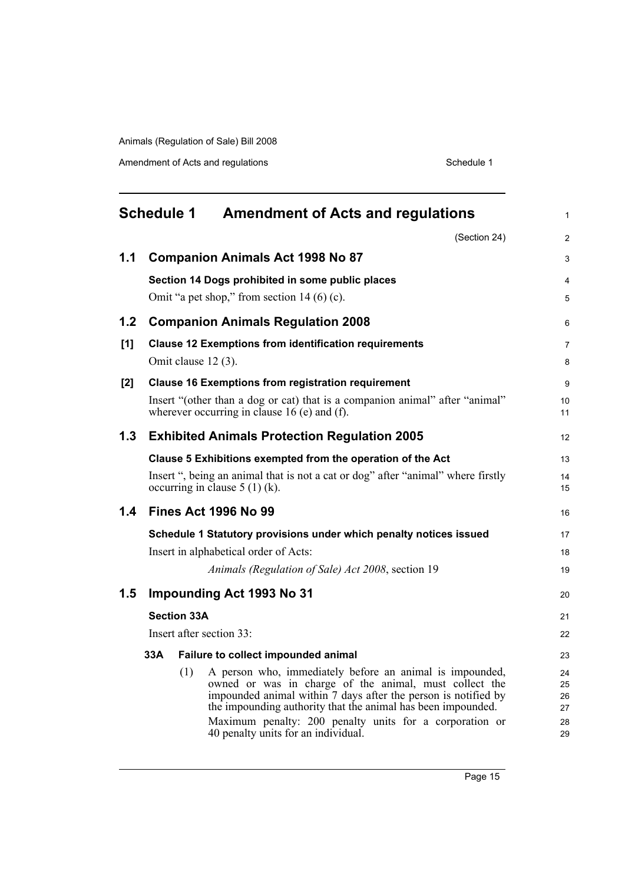Amendment of Acts and regulations Schedule 1

<span id="page-20-0"></span>

|     | <b>Schedule 1</b>                                                                                                   |     | <b>Amendment of Acts and regulations</b>                                                                                                                                                                                                                                                                        | 1                          |  |
|-----|---------------------------------------------------------------------------------------------------------------------|-----|-----------------------------------------------------------------------------------------------------------------------------------------------------------------------------------------------------------------------------------------------------------------------------------------------------------------|----------------------------|--|
|     |                                                                                                                     |     | (Section 24)                                                                                                                                                                                                                                                                                                    | $\overline{c}$             |  |
| 1.1 |                                                                                                                     |     | <b>Companion Animals Act 1998 No 87</b>                                                                                                                                                                                                                                                                         | 3                          |  |
|     |                                                                                                                     |     | Section 14 Dogs prohibited in some public places                                                                                                                                                                                                                                                                | 4                          |  |
|     |                                                                                                                     |     | Omit "a pet shop," from section $14(6)(c)$ .                                                                                                                                                                                                                                                                    | 5                          |  |
| 1.2 |                                                                                                                     |     | <b>Companion Animals Regulation 2008</b>                                                                                                                                                                                                                                                                        | 6                          |  |
| [1] |                                                                                                                     |     | <b>Clause 12 Exemptions from identification requirements</b>                                                                                                                                                                                                                                                    | 7                          |  |
|     |                                                                                                                     |     | Omit clause 12 (3).                                                                                                                                                                                                                                                                                             | 8                          |  |
| [2] |                                                                                                                     |     | <b>Clause 16 Exemptions from registration requirement</b>                                                                                                                                                                                                                                                       | 9                          |  |
|     |                                                                                                                     |     | Insert "(other than a dog or cat) that is a companion animal" after "animal"<br>wherever occurring in clause $16$ (e) and (f).                                                                                                                                                                                  | 10<br>11                   |  |
| 1.3 | <b>Exhibited Animals Protection Regulation 2005</b>                                                                 |     |                                                                                                                                                                                                                                                                                                                 |                            |  |
|     |                                                                                                                     |     | Clause 5 Exhibitions exempted from the operation of the Act                                                                                                                                                                                                                                                     | 13                         |  |
|     | Insert ", being an animal that is not a cat or dog" after "animal" where firstly<br>occurring in clause $5(1)(k)$ . |     |                                                                                                                                                                                                                                                                                                                 |                            |  |
| 1.4 | <b>Fines Act 1996 No 99</b>                                                                                         |     |                                                                                                                                                                                                                                                                                                                 |                            |  |
|     | Schedule 1 Statutory provisions under which penalty notices issued                                                  |     |                                                                                                                                                                                                                                                                                                                 |                            |  |
|     | Insert in alphabetical order of Acts:                                                                               |     |                                                                                                                                                                                                                                                                                                                 |                            |  |
|     |                                                                                                                     |     | Animals (Regulation of Sale) Act 2008, section 19                                                                                                                                                                                                                                                               | 19                         |  |
| 1.5 | <b>Impounding Act 1993 No 31</b>                                                                                    |     |                                                                                                                                                                                                                                                                                                                 |                            |  |
|     | <b>Section 33A</b>                                                                                                  |     |                                                                                                                                                                                                                                                                                                                 |                            |  |
|     | Insert after section 33:                                                                                            |     |                                                                                                                                                                                                                                                                                                                 |                            |  |
|     | 33A                                                                                                                 |     | Failure to collect impounded animal                                                                                                                                                                                                                                                                             | 23                         |  |
|     |                                                                                                                     | (1) | A person who, immediately before an animal is impounded,<br>owned or was in charge of the animal, must collect the<br>impounded animal within 7 days after the person is notified by<br>the impounding authority that the animal has been impounded.<br>Maximum penalty: 200 penalty units for a corporation or | 24<br>25<br>26<br>27<br>28 |  |
|     |                                                                                                                     |     | 40 penalty units for an individual.                                                                                                                                                                                                                                                                             | 29                         |  |